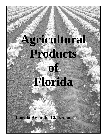# **Agricultural Products of Florida**

**Florida Ag in the Classroom**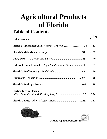# **Agricultural Products of Florida**

# **Table of Contents**

|                                                                   |                  | Page   |
|-------------------------------------------------------------------|------------------|--------|
|                                                                   | $\boldsymbol{2}$ |        |
| Florida's Agricultural Cash Receipts - Graphing 3 - 33            |                  |        |
|                                                                   |                  |        |
|                                                                   |                  |        |
| <b>Cultured Dairy Products - Yogurt and Cottage Cheese71 - 81</b> |                  |        |
|                                                                   |                  | $-96$  |
|                                                                   |                  | $-106$ |
|                                                                   |                  |        |
| <b>Horticulture in Florida</b>                                    |                  |        |
|                                                                   |                  |        |
|                                                                   |                  |        |





**Florida Ag in the Classroom**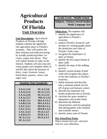# **Agricultural Products Of Florida Unit Overview**

**Unit Description:** *Agricultural Products of Florida* will help students examine the significant role agriculture plays in Florida's economy. They will explore the dairy business and milk processing by actually producing butter, ice cream, yogurt and cheese. They will explore breeds of cattle on the Internet. Students will also read and create graphs and complete tables of real-life data about the business of dairy, crops, livestock, honey, horticulture, peanuts, cotton, and sugar cane.

| <b>Sunshine State Standards:</b>                                                 |                                                                    |  |  |  |
|----------------------------------------------------------------------------------|--------------------------------------------------------------------|--|--|--|
| LA.A.1.3.4                                                                       | <b>SC.A.1.3.6</b>                                                  |  |  |  |
| LA.A.2.3.5                                                                       | <b>SC.G.1.3.3</b>                                                  |  |  |  |
| LA.A.2.3.6                                                                       | <b>SC.G.2.3.2</b>                                                  |  |  |  |
| LA.A.2.3.7                                                                       | <b>MA.A.1.3.2</b>                                                  |  |  |  |
| LA.B.1.3.2                                                                       | <b>MA.A.3.3.2</b>                                                  |  |  |  |
| LA.B.2.3.4                                                                       | <b>MA.A.4.3.1</b>                                                  |  |  |  |
| LA.C.2.3.1                                                                       | <b>MA.D.1.3.1</b>                                                  |  |  |  |
| LA.C.3.3.1<br>LA.C.3.3.5<br>LA.D.2.3.5<br><b>SC.A.1.3.1</b><br><b>SC.A.1.3.5</b> | <b>MA.D.1.3.2</b><br>SS.A.1.3.2<br><b>SS.B.1.3.1</b><br>SS.A.2.3.3 |  |  |  |

### **Grade Levels - Middle School**

**Subjects - Science, Social Studies, Math, Language Arts**

### **Objectives:** The students will:

- 1. identify the significance of agriculture to Florida's economy.
- 2. analyze Florida's livestock cash receipts by creating graphs about the production and value of Florida's field crops.
- 3. recognize the importance of dairy in Florida.
- 4. identify the five major breeds of dairy cattle.
- 5. identify the steps of the milking process.
- 6. identify various breeds of beef cattle and recognize the impact of the beef industry to Florida's economy.
- 7. define ruminant and describe why a ruminant animal can live off of grass and humans cannot.
- 8. describe the important role broiler production has in Florida.
- 9. calculate the space needed to adequately raise broiler birds.
- 10. determine the different characteristics used for grouping and naming plants with common and scientific names.
- 11. identify native trees of Florida.

### **Pre-Tests/Post-Tests:**

Many lessons have pre- and posttests for your utilization**.**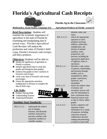# **Florida's Agricultural Cash Receipts**



 **Florida Ag in the Classroom**

*Mathematics, Social Studies, Language Arts Agricultural Products of Florida - Lesson #1* 

**Brief Description:** Students will examine the economic importance of agriculture to the state of Florida by examining and manipulating data in several ways. *Florida's Agricultural Cash Receipts* will analyze the production and value of Florida's field crops, Florida's livestock cash receipts, and dairy products.

### **Objectives:** Students will be able to:

- $\bullet$  identify the significance of agriculture to Florida's economy.
- $\bullet$  interpret agricultural data to create line graphs and histograms (bar graphs).
- $\bullet$  construct line graphs to show variations in livestock cash receipts.
- Õ create a pie chart of livestock cash receipt percentages.
- $\Theta$  choose the appropriate operation, multiplication or division, to complete the data of field crops.

### **Life Skills:**

- **O** Problem Solving Skills
- $\odot$  Understanding Systems
- $\Theta$  Analyzing Information

### **Sunshine State Standards:**

MA.A.1.3.2 - understands the relative size of integers, fractions, and decimals; numbers expressed as percents; numbers with exponents; numbers in scientific notation;



|            | absolute value; and         |
|------------|-----------------------------|
|            | ratios.                     |
| MA.A.3.3.2 | selects the appropriate     |
|            | operation to solve          |
|            | problems involving          |
|            | addition, subtraction,      |
|            | multiplication, and         |
|            | division of rational        |
|            | numbers, ratios,            |
|            | proportions, and            |
|            | percents, including the     |
|            | appropriate application     |
|            | of algebraic order of       |
|            | operations.                 |
| MA.D.1.3.1 | describes a side variety    |
|            | of patterns, relationships, |
|            | and functions through       |
|            | models, such as             |
|            | manipulatives, tables,      |
|            | graphs, expressions,        |
|            | equations, and              |
|            | inequalities.               |
| SS.A.1.3.2 | knows the relative value    |
|            | of primary and              |
|            | secondary sources and       |
|            | uses this information to    |
|            | draw conclusions from       |
|            | historical sources such     |
|            | as data in charts, tables,  |
|            | graphs.                     |
| LA.A.2.3.5 | locates, organizes and      |
|            | interprets written          |
|            | information for a variety   |
|            | of purposes, including      |
|            | classroom research,         |
|            | collaborative decision      |
|            | making and performing       |
|            | a school or real-world      |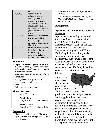|            | task.                      |
|------------|----------------------------|
| LA.A.2.3.6 | uses a variety of          |
|            | reference materials,       |
|            | including indexes,         |
|            | magazines, newspapers,     |
|            | and journals, and tools    |
|            | including card catalogs    |
|            | and computer catalogs to   |
|            | gather information for     |
|            | research.                  |
| LA.B.1.3.2 | drafts and revises writing |
|            | that has support that is   |
|            | substantial, specific,     |
|            | relevant, concrete, and/or |
|            | illustrative.              |
| LA.B.2.3.4 | uses electronic technology |
|            | including databases and    |
|            | software to gather         |
|            | information and com-       |
|            | municate new knowledge.    |

### **Materials:**

- Copies of *Florida's Agricultural Cash Receipts* (3 pages)*, Florida's Livestock,*  and *Florida's Field Crops* activity sheets, 1 set for each student
- Transparencies of *Agriculture in Florida*
- Pencils/pens
- Paper (several sheets per student)
- Graph paper (several sheets per student)
- Rulers
- Calculators for each student

#### **Time: Activity One:**

45 to 60 minutes

**Activity Two:** Two, 45 to 60 minute class periods

**Activity Three:** Two, 45 to 60 minute class periods

### **Preparation:**

• Make double-sided copies of *Florida's Agricultural Cash Receipts* activity sheets for each student.

- Make transparencies (3) of *Agriculture in Florida.*
- Make copies of *Florida's Livestock,* and *Florida's Field Crops* activity sheets, 1 set for each student.

### **Background:**

### **Agriculture is Important to Florida's Economy**

Agriculture is the leading industry of the United States. It accounts for almost 20 percent of the Gross Domestic Product (GDP) of the U.S., according to the United States Department of Agriculture (USDA). Florida's agricultural industry makes a significant contribution to that productivity. Agriculture is the second leading industry in Florida, second only to tourism. Florida's agriculture accounts for over 200,000 jobs with an economic impact of more than \$53 billion.

Florida is the ninth ranked state in overall agricultural



production in the U.S. Florida leads the nation in the production of citrus, bell peppers, cut ferns, eggplant, fresh snap beans, escarole/endive, foliage, fresh cucumbers, fresh squash, gladioli, grapefruit, houseplants, oranges, sweet corn, radishes, sugar cane, tangelos, tangerines, tropical fish, watermelons, and fresh tomatoes. It is second in the production of vegetables and horticultural products, and ranks fourth in the production of all agricultural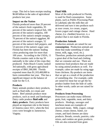crops. This led to farm receipts totaling \$6.68 billion in the sales of agricultural products last year.

#### **Impact on the Nation**

Florida produced more than 20 percent of the nation's fresh vegetables, 95 percent of the nation's tropical fish, 100 percent of the nation's tangelos, 100 percent of the nation's temple oranges, 70 percent of the nation's eggplant, 68 percent of the nation's oranges, 52 percent of the nation's bell peppers, and 53 percent of the nation's sugar cane. Florida has been the nations' leading citrus producing state for more than 100 years. According to the USDA, 11 Florida counties rank in the top 50 nationally in the value of the crops they produced. Palm Beach County ranked 3rd nationally, with gross agricultural receipts of \$961,366,000. Florida exported more than \$1,103,400,000 in farm commodities last year. This has a significant impact on the balance of trade for the U.S.

### **Products**

Dairy animals produce dairy products, such as fluid milk, ice cream and butter. Beef animals produce meat products, such as steak and hamburger. Dairy cattle produce **fluid milk** and **dairy products**. Dairy products have played an important role in the history of America since 1611, when the first cows were brought to Jamestown, Virginia.

#### **Fluid Milk**

Most of the milk produced in Florida, is used for fluid consumption. Some plants, such as Publix Processing Plant in Lakeland, take the milk they are delivered and turn it into products such as sour cream, ice cream, yogurt, frozen yogurt and cottage cheese. Hard cheese, (i.e. cheddar) however, is a product that is not made in Florida.

### **Production Animals**

Production animals are raised for our **consumption**. Production animals are those that make something of value (meat, milk, eggs, wool, etc.). Therefore, production animals provide a great deal of the food and clothing that we consume and use. There are numerous food products that are made by using animal products as well. For example, cakes are made by using eggs from chickens. By-products are items that we get as a result of the production of something else. For example, cattle are raised for meat but we get the byproduct leather from the hide of cattle. In other words, cattle are not raised for leather.

#### **Products from Processing**

Processors can make many different grain, fruit, vegetable, meat, and dairy products. Hotdogs, sausages and luncheon meats are examples of processed meats. Milk, yogurt, cottage cheese, cream cheese, butter, ice cream, and hard cheeses are dairy products. Breads, cereals, pastries, cake mixes, and cookies are grain products. Oils are also extracted from grain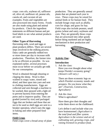crops: corn oils, soybean oil, safflower oil, olive oil, sunflower oil, peanut oils, canola oil, and coconut oil are examples. Fruits and vegetables are also processed into many forms. Foods are also made using plant and animal by-products. Check the ingredient statements on different human and pet food labels to see what animal products are used.

### **Other Types of Harvesting**

Harvesting milk, wool and eggs or plant products differs. There are several steps involved in the milking process. Dairy cattle are generally milked two or more times per day to increase milk production. Therefore, the farmer tries to be as efficient as possible. As was explained earlier, several processes must occur before we actually get milk for our consumption.

Wool is obtained through shearing or clipping the sheep. Wool is then washed in soapy water, rinsed and dried, and then spun into yarn and sent to clothing manufacturers. Eggs are collected and sent through a machine to be washed, then sprayed with a light oil to prevent bacteria from entering the pores and to improve quality. They are graded (sorted by size) and packaged. Eggs that are broken and those that are not to be used as shell eggs are sent to a breaker operation, which uses the eggs in baking and other prepared food items.

#### **Field Crops**

Field crops cover a broad array of plant

production. They are generally annual plants that are planted each year in rows. These crops may be raised for animal feeds or for human food. They include forage crops such as alfalfa; corn for silage; and grass for hay. Field crops also include peanuts, small grains (wheat and oats), soybeans and corn. They are generally those crops that are processed into other goods before being marketed and are highly mechanized in their production and harvesting.

### **Activity One:**

#### **Introduction**

1. Ask the class: Have you ever thought about what keeps Florida's economy going? *(Answers will vary.)*

There are three economic legs on which Florida's economy stands and prospers. Do you know what they are? *(Tourism, Construction, Agriculture)*

2. Ask the class: What is agriculture?

> Have them give their thoughts and write them down on the chalkboard.

Let's define it and include what you have brainstormed. *(Agriculture is the total food and fiber system. Agriculture is the science and art of cultivating soil, growing crops, and raising livestock to produce food,*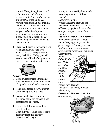*natural fibers, fuels, flowers, turf, pets, pharmaceuticals, wood products, industrial products from biological sources, and meet recreational needs. It also includes the businesses, industries, and organizations that provide input, support and technology to accomplish the production, and management of the items listed above, and provide those items to the consumer.)*

3. Share that Florida is the nation's 9th leading agricultural state, with annual farm cash receipts totaling nearly \$6 billion. Today, you will look at data of Florida's agricultural cash receipts from the past century.



### **Activity**

- 1. Using transparencies 1 through 3 give an overview of the importance of agriculture to Florida's economy.
- 2. Hand out *Florida's Agricultural Cash Receipts* activity sheets.
- 3. Instruct students to follow the directions at the top of page 1 and complete the questions.
- 4. Discuss the information with the class by asking: What did you learn about Florida's economy from this activity? *(Answers will vary.)*

Were you surprised by how much money agriculture contributes to Florida?

*(Answers will vary.)*

What agricultural products are included in the **crops** cash receipts? *(Citrus: grapefruit, lemons, limes, oranges, tangelos, tangerines, temples;*

*Vegetables, Melons, and Berries: blueberries, cabbage, carrots, cucumbers, eggplant, escarole, green peppers, lettuce, potatoes, radishes, snap beans, squash, strawberries, sweet corn, tomatoes,* 

*watermelons, others; Other Fruits and Nuts: avocados, mangos, pecans, others; Field Crops: corn,* 

*cotton, hay, peanuts, soybeans, sugarcane, tobacco, wheat, etc.; Greenhouse/Nursery: floriculture, ornamentals.)*

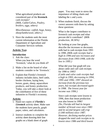What agricultural products are considered part of the **livestock** cash receipts? *(Milk, Cattle/Calves, Poultry, broilers, eggs, others)* 

*Miscellaneous: catfish, hogs, honey, sheep/lambs/wool, others.)*

5. Have the students seek the most current information at the Florida Department of Agriculture and Consumer Services website.

### **Activity Two:**

### **Introduction**

- 1. Ask the class: When you hear the word 'livestock,' what do you think of?
- 2. Make a list on the board of what students consider to be 'livestock.'
- 3. Explain that Florida's livestock industry includes dairy, beef cattle, broiler chickens, laying hens, horses, goats, sheep, aquaculture products, and honey production. Today, you will take a closer look at the contribution of five of these industries to Florida's economy.

#### **Activity**

- 1. Hand out copies of *Florida's Livestock* activity sheet. Make sure the students have pencils, graph paper, rulers, and calculators.
- 2. Instruct students to complete the activity sheet drawing their line graphs on a blank sheet of graph

paper. You may want to stress the importance of titling charts and labeling the x and y-axis.

3. When students finish, discuss the correct answers with them by asking these questions:

What is the largest contributor to livestock cash receipts and what percent did it contribute? (*Milk production, 38.36%)*

By looking at your line graphs, describe the increases or decreases milk had in cash receipts from 1993 to 1998. *(Milk cash receipts had a high in 1996 and saw increases and decreases from 1993-1998, with the low in 1995.)* 

What did your line graph tell you about cattle and calf cash receipts for 1990 to 1995?

*(Cattle and calve cash receipts had a high in 1993, decreasing in 1994, 1995 and 1996; 1997 showed an increase from the previous two years, but receipts decreased again in 1998. The lowest year for income was 1996.)* 

Since cash receipts were lowest in 1996, does that mean production was also lowest in 1996? *(No, Florida still had its largest number of brood cows since 1983 and its second largest calf crop (1.040 million) since 1987. However, declining market prices dropped the total cash receipts to its lowest since 1986 and third lowest*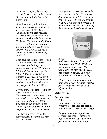*in 15 years. In fact, the average price of Florida calves fell to nearly 71 cents a pound; the lowest in eight years.)*

What does your graph indicate about the cash receipts of chicken and eggs during 1990-1995? *(Chicken and egg cash receipts were relatively steady from 1993 - 1994, with a slight decline in 1994. 1995 and 1996 brought a significant increase. 1997 was a stable year maintaining the increased value of the previous inclines. 1998 saw another increase in the value of receipts.)*

What have the cash receipts for hog production done since 1993? *(Cash receipts for hogs saw a steady decrease from 1993 through 1995, with low cash receipts in 1995. 1996 saw a dramatic increase in cash receipts, almost back to 1993 levels. Then a drastic decline occurred in 1997 and an even steeper decline in 1998.)*

Do you know why cash receipts for hogs continue to decrease? *(Cash receipts continue to decrease due to a decrease in the number of hogs on Florida farms; 1998 produced an all-time low in the number of hogs on farms, beating the previous all-time low in 1995.)*

How have the cash receipts for honey fluctuated over the six-year span indicated?

*(Honey saw a decrease in 1994, but honey value rose in 1995 and rose dramatically in 1996 to see a steep drop in 1997, with the low coming in 1994. 1998 saw an increase from the previous year, but did not bring the receipts back to the 1996 levels.)* 



### If you

produced a pie graph for each of these years from 1993 - 1998, how much would they differ? *(They would differ slightly in some cases and greatly in others. Only milk would remain relatively stable.)*

Why do these figures vary so much from year to year*? (weather, market prices, producer decisions that affect supply)*

### **Activity Three:**

### **Introduction**

1. Ask the class:

How many of you like peanuts? What type of products are peanuts used to make? *(Answers will vary.)*

Do you know in what products soybeans are used? *(cooking oil, tofu, candy bars, soy sauce, high protein drinks and bars, etc.)*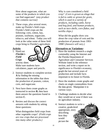How about sugarcane, what are some of the products in which you can find sugarcane? *(any product that contains sucrose)*

2. These crops, plus several more, make up Florida's field crops. Florida's field crops are the following: corn, cotton, hay, peanuts, soybeans, sugarcane, tobacco, and wheat. Today you will look at the value some of these field crops bring to Florida's agriculture.

### **Activity**

1. Hand out *Florida's Field Crops* activity sheet.



Make sure students have calculators, paper and pencils.

- 2. Instruct students to complete section **A** by finding the missing information in the tables that show the production of peanuts, cotton, corn, and sugarcane.
- 3. Next have them create graphs as instructed in section **B**; then have them answer the questions found in section **C**.
- 4. Review and discuss the correct answers with students by asking these questions:

What distinguishes field crops from other vegetable crops? *(Field crops are row crops that are processed into many other products.)*

Why is corn considered a field crop*? (Corn is grown as silage that is fed to cattle or grown for grain, which is used in a variety of products, including cattle, horse and hog feed, and human products, such as taco shells, corn flakes, and tortilla chips.)*

What did the graphs show you about the crop value of corn and the production of peanuts from 1993- 1998? *(Answers will vary.)*

### **Alternatives or Variations:**

- 1. Have the students research a single commodity using the Internet and the Florida Department of Agriculture and Consumer Services Website listed in the reference section, and write a report on its significance to Florida's economy, graph the last several years of production and include facts important to its future in Florida.
- 2. Have the students create graphs and charts on single commodities from the data given. Manipulate it in various ways.
- 3. Challenge students to decide what they would eat or wear if there was no agriculture industry.
- 4. Instruct students to write a creative, grade-level appropriate, story describing how they would picture the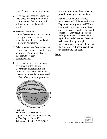state of Florida without agriculture.

5. Have students research to find the field crops that are grown in their county and nearby counties and write a report, complete with graphs.

### **Evaluation Options:**

- 1. Utilize the completion and accuracy of assigned work to assess understanding of content and ability to perform operations.
- 2. Select a set of data from one of the charts, have students create the most appropriate graph to display the information for easy comprehension.
- 3. Have students research the most current data at the Florida Department of Agriculture and Consumer Services website and create a report on the current trends of Florida's agricultural production.



#### **Resources**:

1. The Florida Department of Agriculture and Consumer Services, at The Capitol, Level 10, Tallahassee, Florida, 32399-0810.

Website http://www.fl-ag.com can provide most up-to-date statistics.

2. National Agricultural Statistics Service (NASS) of the United States Department of Agriculture (USDA) can provide additional information and comparisons to other states and countries. They can be accessed through the Florida Department of Agriculture and Consumer Services website or directly through http://www.nass.usda.gov/fl, once at the site, select publications and then the commodity you seek.

### **Notes:**



Florida Ag in the Classroom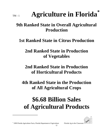# **Agriculture in Florida**<sup>\*</sup>

# **9th Ranked State in Overall Agricultural Production**

# **1st Ranked State in Citrus Production**

# **2nd Ranked State in Production of Vegetables**

# **2nd Ranked State in Production of Horticultural Products**

# **4th Ranked State in the Production of All Agricultural Crops**

# **\$6.68 Billion Sales of Agricultural Products**



\* 1999 Florida Agriculture Facts, Florida Department of Agriculture Florida Ag in the Classroom

l

12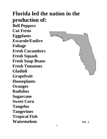# **Florida led the nation in the production of: Bell Peppers Cut Ferns Eggplants Escarole/Endive Foliage Fresh Cucumbers Fresh Squash Fresh Snap Beans Fresh Tomatoes Gladioli Grapefruit Houseplants Oranges Radishes Sugarcane Sweet Corn Tangelos Tangerines Tropical Fish**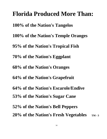**Florida Produced More Than: 100% of the Nation's Tangelos 100% of the Nation's Temple Oranges 95% of the Nation's Tropical Fish 70% of the Nation's Eggplant 68% of the Nation's Oranges 64% of the Nation's Grapefruit 64% of the Nation's Escarole/Endive 53% of the Nation's Sugar Cane 52% of the Nation's Bell Peppers 20% of the Nation's Fresh Vegetables** TM-3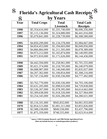

l

**Florida's Agricultural Cash Receipts\***

|      | by Years           |                 |                   |
|------|--------------------|-----------------|-------------------|
| Year | <b>Total Crops</b> | <b>Total</b>    | <b>Total Cash</b> |
|      |                    | Livestock       | <b>Receipts</b>   |
| 1998 | \$5,354,616,000    | \$1,331,740,000 | \$6,696,356,000   |
| 1997 | \$5,115,136,000    | \$1,324,880,000 | \$6,441,016,000   |
| 1996 | \$5,079,841,000    | \$1,228,739,000 | \$6,308,580,000   |
|      |                    |                 |                   |
| 1995 | \$4,850,299,000    | \$1,134,378,000 | \$5,984,667,000   |
| 1994 | \$4,854,453,000    | \$1,194,603,000 | \$6,049,056,000   |
| 1993 | \$4,866,884,000    | \$1,211,505,000 | \$6,078,389,000   |
| 1992 | \$4,973,212,000    | \$1,165,874,000 | \$6,140,095,000   |
| 1991 | \$4,972,810,000    | \$1,171,626,000 | \$6,144,436,000   |
|      |                    |                 |                   |
| 1990 | \$4,442,594,000    | \$1,258,961,000 | \$5,701,555,000   |
| 1989 | \$5,021,374,000    | \$1,218,705,000 | \$6,240,079,000   |
| 1988 | \$4,688,987,000    | \$1,146,040,000 | \$5,835,027,000   |
| 1987 | \$4,207,362,000    | \$1,100,854,000 | \$5,308,216,000   |
| 1986 | \$3,747,156,000    | \$1,030,336,000 | \$4,777,492,000   |
|      |                    |                 |                   |
| 1985 | \$3,762,770,000    | \$1,030,336,000 | \$4,793,106,000   |
| 1984 | \$3,631,205,000    | \$1,098,633,000 | \$4,729,838,000   |
| 1983 | \$3,536,267,000    | \$1,078,395,000 | \$4,614,662,000   |
| 1982 | \$3,309,638,000    | \$1,018,326,000 | \$4,327,964,000   |
| 1981 | \$3,254,345,000    | \$1,026,286,000 | \$4,280,631,000   |
|      |                    |                 |                   |
| 1980 | \$3,116,101,000    | \$945,832,000   | \$4,061,933,000   |
| 1979 | \$2,854,515,000    | \$1,001,311,000 | \$3,855,826,000   |
| 1978 | \$2,588,238,000    | \$849,558,000   | \$3,437,796,000   |
| 1977 | \$1,875,359,000    | \$748,555,000   | \$2,623,914,000   |

**\* Source: USDA Economic Research and 1996 Florida Agricultural Facts (Does not include forestry or seafood/aquaculture products.)**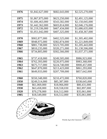| 1976 | \$1,842,627,000 | \$682,643,000 | \$2,525,270,000 |
|------|-----------------|---------------|-----------------|
|      |                 |               |                 |
| 1975 | \$1,867,875,000 | \$623,250,000 | \$2,491,125,000 |
| 1974 | \$1,606,463,000 | \$543,582,000 | \$2,150,045,000 |
| 1973 | \$1,442,362,000 | \$603,814,000 | \$2,046,176,000 |
| 1972 | \$1,219,336,000 | \$467,434,000 | \$1,686,635,000 |
| 1971 | \$1,051,042,000 | \$407,325,000 | \$1,458,367,000 |
|      |                 |               |                 |
| 1970 | \$902,877,000   | \$402,525,000 | \$1,305,402,000 |
| 1969 | \$948,975,000   | \$382,874,000 | \$1,221,849,000 |
| 1968 | \$881,738,000   | \$323,705,000 | \$1,205,443,000 |
| 1967 | \$810,235,000   | \$320,271,000 | \$1,130,506,000 |
| 1966 | \$734,805,000   | \$302,566,000 | \$1,037,371,000 |
|      |                 |               |                 |
| 1965 | \$737,418,000   | \$249,505,000 | \$986,923,000   |
| 1964 | \$762,393,000   | \$220,975,000 | \$983,368,000   |
| 1963 | \$675,717,000   | \$224,740,000 | \$900,457,000   |
| 1962 | \$647,870,000   | \$213,423,000 | \$861,293,000   |
| 1961 | \$649,933,000   | \$207,709,000 | \$857,642,000   |
|      |                 |               |                 |
| 1960 | \$550,348,000   | \$210,472,000 | \$760,820,000   |
| 1950 | \$249,514,000   | \$85,387,000  | \$338,645,000   |
| 1940 | \$61,069,000    | \$18,966,000  | \$80,431,000    |
| 1930 | \$63,458,000    | \$18,558,030  | \$82,897,000    |
| 1920 | \$70,278,000    | \$16,512,000  | \$35,061,000    |
| 1905 | \$18,549,000    | \$16,512,000  | \$35,061,000    |





Florida Ag in the Classroom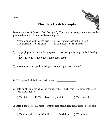**Name** 

\_\_\_\_\_\_\_\_\_\_\_



# **Florida's Cash Receipts**

Refer to the table of *Florida Cash Receipts By Years,* and develop graphs to answer the questions below and follow the directions given.

- 1) What dollar amount was the cash receipt total for crops closest to in 1905? a) 18 thousand b) 18 billion c) 18 million d) 18 hundred
- 2) Use graph paper to draw a line graph of the cash receipts for crops in the following years: 1965, 1970, 1975, 1980, 1985, 1990, 1995, 1998
- 3) According to your graph, which year had the largest cash receipts?
- 4) Which year had the lowest cash receipts? \_\_\_\_\_\_\_\_\_\_\_\_\_\_
- 5) Referring back to the table, approximately how much more were crops sold for in 1989 than in 1995?
	- a) 300 billion b) 300 million c) 3 million d) 300 thousand
- 6) Also in the table, what number was the cash receipt total for livestock closest to in 1980?
	- a) 950 thousand b) 900 million c) 900 billion d) 950 million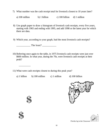7) What number was the cash receipt total for livestock closest to 10 years later?

a) 100 million b) 1 billion c) 100 billion d) 1 million

- 8) Use graph paper to draw a histogram of livestock cash receipts, every five years, starting with 1965 and ending with 1995, and add 1998 or the latest year for which there are data.
- 9) Which year, according to your graph, had the most livestock cash receipts?

\_\_\_\_\_\_\_\_\_\_\_ The least? \_\_\_\_\_\_\_\_\_\_\_

10) Referring once again to the table, in 1975 livestock cash receipts were just over \$600 million. In what year, during the 70s, were livestock cash receipts at their peak?

11) What were cash receipts closest to during this peak year?

| a) 1 billion | b) $100$ million | c) 1 million | $d)$ 1 |
|--------------|------------------|--------------|--------|
|--------------|------------------|--------------|--------|

00 billion





Florida Ag in the Classroom



\_\_\_\_\_\_\_\_\_

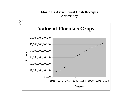# **Florida's Agricultural Cash Receipts Answer Key**

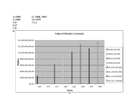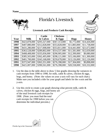# Florida's Livestock



### **Livestock and Products Cash Receipts**

|      |               | <b>Cattle</b> | <b>Chickens</b> |              |              |
|------|---------------|---------------|-----------------|--------------|--------------|
| Year | <b>Milk</b>   | & Calves      | & Eggs          | <b>Hogs</b>  | <b>Honey</b> |
| 1998 | \$423,878,000 | \$293,327,000 | \$367,313,000   | \$5,772,000  | \$14,426,000 |
| 1997 | \$407,880,000 | \$312,828,000 | \$353,828,000   | \$11,883,000 | \$11,738,000 |
| 1996 | \$431,280,000 | \$217,008,000 | \$353,811,000   | \$14,441,000 | \$21,672,000 |
| 1995 | \$363,528,000 | \$289,802,000 | \$314,537,000   | \$11,581,000 | \$12,659,000 |
| 1994 | \$408,408,000 | \$335,836,000 | \$290,905,000   | \$12,399,000 | \$9,080,000  |
| 1993 | \$385,503,000 | \$362,495,000 | \$298,121,000   | \$15,106,000 | \$11,300,000 |
| 1992 | \$401,700,000 | \$343,168,000 | \$259,678,000   | \$13,126,000 | \$12,126,000 |
| 1991 | \$372,947,000 | \$363,351,000 | \$276,398,000   | \$17,304,000 | \$9,898,000  |
| 1990 | \$421,007,000 | \$390,561,000 | \$276,398,000   | \$20,558,000 | \$10,332,000 |

- 1. Use the data in the table above to draw 5 line graphs showing the variances in cash receipts from 1990 to 1998, for milk, cattle & calves, chicken & eggs, hogs, and honey. (Note: the values on your y-axis will vary for each chart.) Make sure you included a title for your graph and labels for the x-axis and the y-axis.
- 2. Use this circle to create a pie graph showing what percent milk, cattle & calves, chicken & eggs, hogs, and honey are of the total livestock cash receipts for 1998. (Note: you must find the total cash receipts for 1998 before you can determine the individual percents.) Florida Ag in the Classroom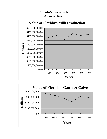# **Florida's Livestock Answer Key**



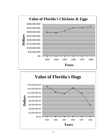

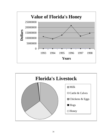

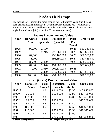# **Florida's Field Crops**

The tables below indicate the production of four of Florida's leading field crops. Each table is missing information. Determine what numbers you would multiply or divide to fill in the shaded boxes with the correct data. (Hint: [harvested acres X yield = production] & [production X value = crop value])

|      | 1 canut 1 i ouucuon anu |          |                   |              |                   |  |
|------|-------------------------|----------|-------------------|--------------|-------------------|--|
| Year | <b>Harvested</b>        | Yield    | <b>Production</b> | <b>Price</b> | <b>Crop Value</b> |  |
|      | <b>Acres</b>            | (pounds) | (pounds)          | Per          |                   |  |
|      |                         |          |                   | <b>Pound</b> |                   |  |
| 1998 | 90,000                  | 2,590    |                   | \$0.25       | \$57,343,000      |  |
| 1997 |                         | 2,715    | 228,060,000       | \$0.28       | \$63,857,000      |  |
| 1996 | 82,000                  |          | 236,160,000       | \$0.28       | \$66,361,000      |  |
| 1995 | 81,000                  |          | 193,590,000       | \$0.27       | \$52,463,000      |  |
| 1994 | 84,000                  | 2,470    |                   | \$0.28       | \$58,302,000      |  |
| 1993 | 84,000                  | 2,320    | 194,880,000       |              | \$57,684,000      |  |
| 1992 | 77,000                  | 2,630    | 202,510,000       | \$0.28       |                   |  |
| 1991 |                         | 2,370    | 279,660,000       | \$0.26       | \$73,551,000      |  |
| 1990 | 100,000                 | 2,340    | 234,000,000       |              | \$70,200,000      |  |

### **Peanut Production and Value**

### **Corn (Grain) Production and Value**

| Year   | <b>Harvested</b> | <b>Yield</b> | <b>Production</b> | <b>Value</b> | <b>Crop Value</b> |
|--------|------------------|--------------|-------------------|--------------|-------------------|
|        | Acres            | (bushel)     | (bushel)          | (bushel)     |                   |
| 1998** |                  | 62           | 3,410,000         | \$2.30       | \$7,843,000       |
| 1997*  | 75,000           |              | 6,000,000         | \$2.90       | \$17,400,000      |
| 1996   | 112,000          | 88           |                   | \$3.80       | \$37,453,000      |
| 1995*  | 60,000           | 90           | 5,400,000         |              | \$17,280,000      |
| 1994   | 80,000           | 85           | 6,800,000         | \$2.40       |                   |
| 1993   | 100,000          | 65           |                   | \$2.55       | \$16,575,000      |
| 1992   | 110,000          |              | 8,250,000         | \$2.30       | \$18,975,000      |
| 1991   | 75,000           | 68           | 5,100,000         | \$2.60       |                   |
| 1990   |                  | 71           | 5,325,000         | \$2.70       | \$14,378,000      |

**\* Storm damaged crops \*\* Drought damaged crops**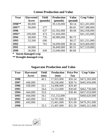| Year   | <b>Harvested</b> | <b>Yield</b> | <b>Production</b> | <b>Value</b> | <b>Crop Value</b> |
|--------|------------------|--------------|-------------------|--------------|-------------------|
|        | Acres            | (pounds)     | (pounds)          | (pound)      |                   |
| 1998** | 80,000           |              | 39,120,000        | \$0.54       | \$21,203,000      |
| 1997*  | 99,000           | 577          |                   | \$0.65       | \$37,388,000      |
| 1996   |                  | 637          | 62,592,000        | \$0.68       | \$42,938,000      |
| 1995*  | 109,000          | 472          | 51,456,000        |              | \$41,165,000      |
| 1994   | 68,000           | 735          | 49,980,000        | \$0.73       |                   |
| 1993   | 53,500           | 696          |                   | \$0.57       | \$21,231,000      |
| 1992   |                  | 701          | 34,699,000        | \$0.56       | \$19,469,000      |
| 1991   | 49,000           |              | 36,600,000        | \$0.55       | \$17,519,000      |
| 1990   | 36,000           | 640          | 23,040,000        | \$0.68       |                   |

# **Cotton Production and Value**

**\* Storm damaged crop**

**\*\* Drought damaged crop**

| <b>Sugarcane Production and Value</b> |  |
|---------------------------------------|--|
|                                       |  |

| Year | <b>Harvested</b> | <b>Yield</b> | <b>Production</b> | <b>Price Per</b> | <b>Crop Value</b> |
|------|------------------|--------------|-------------------|------------------|-------------------|
|      | <b>Acres</b>     | (ton)        | ton)              | <b>Ton</b>       |                   |
| 1998 |                  | 40.1         | 17,925,000        | \$26.34          | \$472,303,000     |
| 1997 | 440,000          |              | 16,236,000        | \$28.74          | \$465,950,000     |
| 1996 | 438,000          | 33.1         | 14,498,000        | \$29.40          |                   |
| 1995 |                  | 34.6         | 15,122,000        | \$30.60          | \$462,730,000     |
| 1994 | 444,000          | 33.6         |                   | \$30.40          | \$457,010,000     |
| 1993 | 444,000          | 34.1         | 151,152,000       |                  | \$460,620,000     |
| 1992 | 443,000          | 33.2         | 14,707,000        | \$29.80          |                   |
| 1991 | 443,000          |              | 15,461,000        | \$31.00          | \$479,291,000     |
| 1990 |                  | 35.5         | 15,407,000        | \$31.50          | \$485,321,000     |



Florida Ag in the Classroom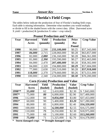# **Florida's Field Crops**

The tables below indicate the production of four of Florida's leading field crops. Each table is missing information. Determine what numbers you would multiply or divide to fill in the shaded boxes with the correct data. (Hint: [harvested acres X yield = production] & [production X value = crop value])

| Year | <b>Harvested</b> | <b>Yield</b> | <b>Production</b> | <b>Price</b> | <b>Crop Value</b> |
|------|------------------|--------------|-------------------|--------------|-------------------|
|      | <b>Acres</b>     | (pounds)     | (pounds)          | Per          |                   |
|      |                  |              |                   | <b>Pound</b> |                   |
| 1998 | 90,000           | 2,590        | 233,100,000       | \$0.25       | \$57,343,000      |
| 1997 | 84,000           | 2,715        | 228,060,000       | \$0.28       | \$63,857,000      |
| 1996 | 82,000           | 2,880        | 236,160,000       | \$0.28       | \$66,361,000      |
| 1995 | 81,000           | 2,390        | 193,590,000       | \$0.27       | \$52,463,000      |
| 1994 | 84,000           | 2,470        | 207,480,000       | \$0.28       | \$58,302,000      |
| 1993 | 84,000           | 2,320        | 194,880,000       | \$0.29       | \$57,684,000      |
| 1992 | 77,000           | 2,630        | 202,510,000       | \$0.28       | \$57,918,000      |
| 1991 | 118,000          | 2,370        | 279,660,000       | \$0.26       | \$73,551,000      |
| 1990 | 100,000          | 2,340        | 234,000,000       | \$0.30       | \$70,200,000      |

### **Peanut Production and Value**

### **Corn (Grain) Production and Value**

| Year   | <b>Harvested</b> | <b>Yield</b> | <b>Production</b> | <b>Value</b> | <b>Crop Value</b> |
|--------|------------------|--------------|-------------------|--------------|-------------------|
|        | <b>Acres</b>     | (bushel)     | (bushel)          | (bushel)     |                   |
| 1998** | 55,000           | 62           | 3,410,000         | \$2.30       | \$7,843,000       |
| 1997*  | 75,000           | 80           | 6,000,000         | \$2.90       | \$17,400,000      |
| 1996   | 112,000          | 88           | 9,856,000         | \$3.80       | \$37,453,000      |
| 1995*  | 60,000           | 90           | 5,400,000         | \$3.20       | \$17,280,000      |
| 1994   | 80,000           | 85           | 6,800,000         | \$2.40       | \$16,320,000      |
| 1993   | 100,000          | 65           | 6,500,000         | \$2.55       | \$16,575,000      |
| 1992   | 110,000          | 75           | 8,250,000         | \$2.30       | \$18,975,000      |
| 1991   | 75,000           | 68           | 5,100,000         | \$2.60       | \$13,260,000      |
| 1990   | 75,000           | 71           | 5,325,000         | \$2.70       | \$14,378,000      |

**\* Storm damaged crops \*\* Drought damaged crops**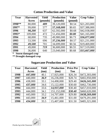| Year   | <b>Harvested</b> | <b>Yield</b> | <b>Production</b> | <b>Value</b> | <b>Crop Value</b> |
|--------|------------------|--------------|-------------------|--------------|-------------------|
|        | <b>Acres</b>     | (pounds)     | (pounds)          | (pound)      |                   |
| 1998** | 80,000           | 489          | 39,120,000        | \$0.54       | \$21,203,000      |
| 1997*  | 99,000           | 577          | 57,168,000        | \$0.65       | \$37,388,000      |
| 1996   | 98,200           | 637          | 62,592,000        | \$0.68       | \$42,938,000      |
| 1995*  | 109,000          | 472          | 51,456,000        | \$0.80       | \$41,165,000      |
| 1994   | 68,000           | 735          | 49,980,000        | \$0.73       | \$36,077,000      |
| 1993   | 53,500           | 696          | 37,236,000        | \$0.57       | \$21,231,000      |
| 1992   | 49,500           | 701          | 34,699,000        | \$0.56       | \$19,469,000      |
| 1991   | 49,000           | 719          | 36,600,000        | \$0.55       | \$17,519,000      |
| 1990   | 36,000           | 640          | 23,040,000        | \$0.68       | \$15,667,000      |

# **Cotton Production and Value**

**\* Storm damaged crop**

**\*\* Drought damaged crop**

| Year | <b>Harvested</b> | Yield       | <b>Production</b> | <b>Price Per</b> | <b>Crop Value</b> |
|------|------------------|-------------|-------------------|------------------|-------------------|
|      | <b>Acres</b>     | ton)        | (ton)             | <b>Ton</b>       |                   |
| 1998 | 447,000          | 40.1        | 17,925,000        | \$26.34          | \$472,303,000     |
| 1997 | 440,000          | 36.9        | 16,236,000        | \$28.74          | \$465,950,000     |
| 1996 | 438,000          | 33.1        | 14,498,000        | \$29.40          | \$426,241,000     |
| 1995 | 437,000          | 34.6        | 15,122,000        | \$30.60          | \$462,730,000     |
| 1994 | 444,000          | 33.6        | 14,937,000        | \$30.40          | \$457,010,000     |
| 1993 | 444,000          | 34.1        | 151,152,000       | \$30.40          | \$460,620,000     |
| 1992 | 443,000          | 33.2        | 14,707,000        | \$29.80          | \$438,269,000     |
| 1991 | 443,000          | <b>34.9</b> | 15,461,000        | \$31.00          | \$479,291,000     |
| 1990 | 434,000          | 35.5        | 15,407,000        | \$31.50          | \$485,321,000     |

# **Sugarcane Production and Value**



Florida Ag in the Classroom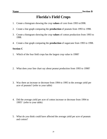# **Florida's Field Crops**

- 1. Create a histogram showing the crop **values** of corn from 1993 to1998.
- 2. Create a line graph comparing the **production** of peanuts from 1993 to 1998.
- 3. Create a histogram showing the crop **values** of cotton production from 1993 to 1998.
- 4. Create a line graph comparing the **production** of sugarcane from 1993 to 1998.

### **Section C**

- 1. Which of the four field crops has the largest crop value in 1998?
- 2. What does your line chart say about peanut production from 1993 to 1998?
- 3. Was there an increase or decrease from 1994 to 1995 in the average yield per acre of peanuts? (refer to your table)
- 4. Did the average yield per acre of cotton increase or decrease from 1994 to 1995? (refer to your table)
- 5. What do you think could have affected the average yield per acre of peanuts and cotton?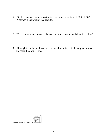- 6. Did the value per pound of cotton increase or decrease from 1993 to 1998? What was the amount of that change?
- 7. What year or years was/were the price per ton of sugarcane below \$30 dollars?
- 8. Although the value per bushel of corn was lowest in 1992, the crop value was the second highest. How?

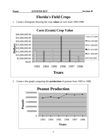# **Florida's Field Crops**

1. Create a histogram showing the crop **values** of corn from 1993-1998.



2. Create a line graph comparing the **production** of peanuts from 1993 to 1998.

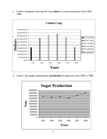3. Create a histogram showing the crop **values** of cotton production from 1993- 1998.



4. Create a line graph comparing the **production** of sugarcane from 1993 to 1998.